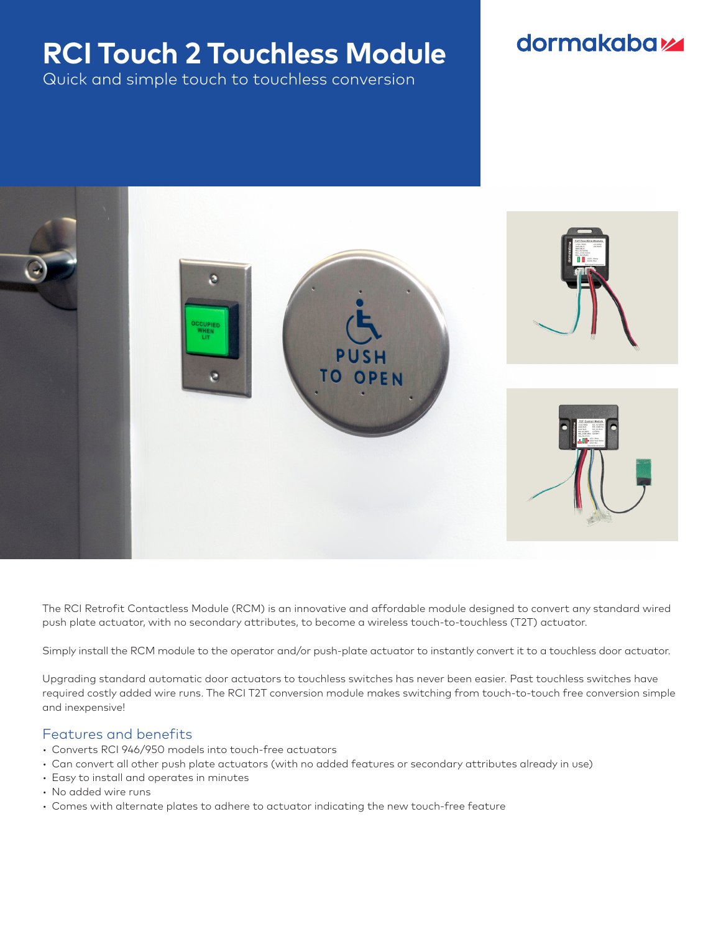# **RCI Touch 2 Touchless Module**

Quick and simple touch to touchless conversion

## **dormakabazz**



The RCI Retrofit Contactless Module (RCM) is an innovative and affordable module designed to convert any standard wired push plate actuator, with no secondary attributes, to become a wireless touch-to-touchless (T2T) actuator.

Simply install the RCM module to the operator and/or push-plate actuator to instantly convert it to a touchless door actuator.

Upgrading standard automatic door actuators to touchless switches has never been easier. Past touchless switches have required costly added wire runs. The RCI T2T conversion module makes switching from touch-to-touch free conversion simple and inexpensive!

#### Features and benefits

- Converts RCI 946/950 models into touch-free actuators
- Can convert all other push plate actuators (with no added features or secondary attributes already in use)
- Easy to install and operates in minutes
- No added wire runs
- Comes with alternate plates to adhere to actuator indicating the new touch-free feature